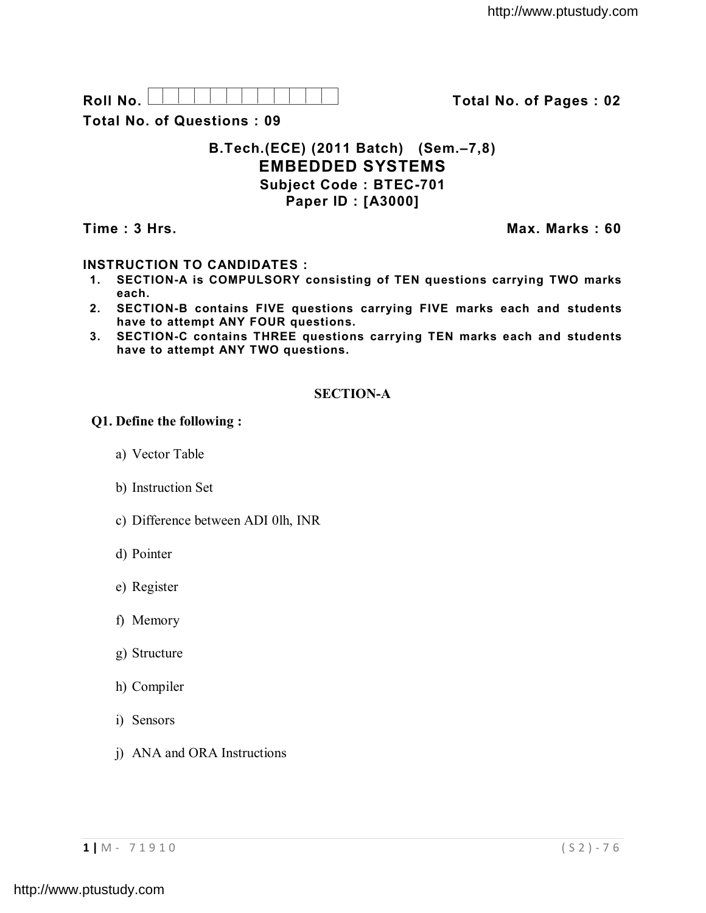Roll No. **No. In the U.S. Letter Line 1** total No. of Pages : 02

**Total No. of Questions : 09**

# **B.Tech.(ECE) (2011 Batch) (Sem.–7,8) EMBEDDED SYSTEMS Subject Code : BTEC-701 Paper ID : [A3000]**

**Time : 3 Hrs. Max. Marks : 60**

## **INSTRUCTION TO CANDIDATES :**

- **1. SECTION-A is COMPULSORY consisting of TEN questions carrying TWO marks each.**
- **2. SECTION-B contains FIVE questions carrying FIVE marks each and students have to attempt ANY FOUR questions.**
- **3. SECTION-C contains THREE questions carrying TEN marks each and students have to attempt ANY TWO questions.**

## **SECTION-A**

### **Q1. Define the following :**

- a) Vector Table
- b) Instruction Set
- c) Difference between ADI 0lh, INR
- d) Pointer
- e) Register
- f) Memory
- g) Structure
- h) Compiler
- i) Sensors
- j) ANA and ORA Instructions